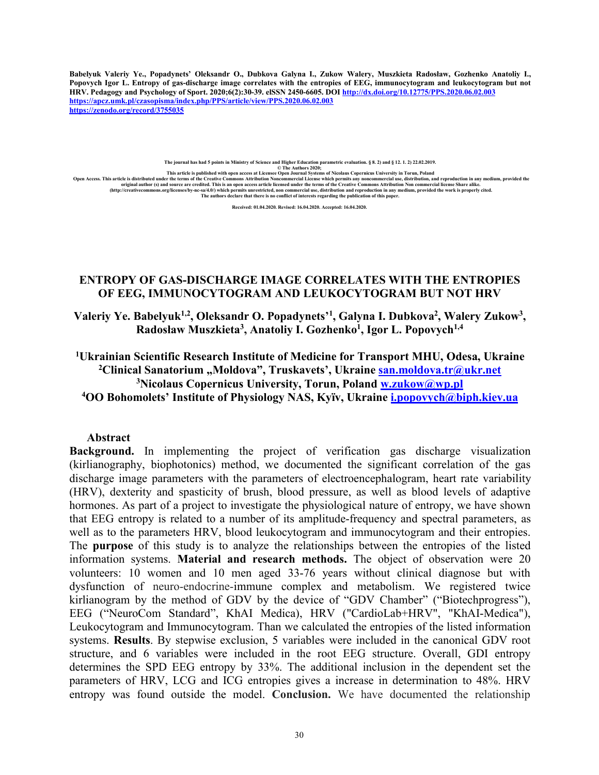**Babelyuk Valeriy Ye., Popadynets' Oleksandr O., Dubkova Galyna I., Zukow Walery, Muszkieta Radosław, Gozhenko Anatoliy I., Popovych Igor L. Entropy of gas-discharge image correlates with the entropies of EEG, immunocytogram and leukocytogram but not HRV. Pedagogy and Psychology of Sport. 2020;6(2):30-39. elSSN 2450-6605. DOI <http://dx.doi.org/10.12775/PPS.2020.06.02.003> <https://apcz.umk.pl/czasopisma/index.php/PPS/article/view/PPS.2020.06.02.003> <https://zenodo.org/record/3755035>**

**The journal has had 5 points in Ministry of Science and Higher Education parametric evaluation. § 8. 2) and § 12. 1. 2) 22.02.2019. © The Authors 2020;**

This article is published with open access at Licensee Open Journal Systems of Nicolaus Copernicus University in Torun, Poland و This article is distributed under the terms of the Creative Commons Attribution Noncommercial (http://creativecommons.org/licenses/by-nc-sa/4.0) which permits unrestricted, non commercial use, distribution and reproduction in any medium, provided the work is properly cited.<br>The authors the authors declare that ther

**Received: 01.04.2020. Revised: 16.04.2020. Accepted: 16.04.2020.**

# **ENTROPY OF GAS-DISCHARGE IMAGE CORRELATES WITH THE ENTROPIES OF EEG, IMMUNOCYTOGRAM AND LEUKOCYTOGRAM BUT NOT HRV**

**Valeriy Ye. Babelyuk1,2, Oleksandr O. Popadynets'<sup>1</sup> , Galyna I. Dubkova<sup>2</sup> , Walery Zukow<sup>3</sup> , Radosław Muszkieta<sup>3</sup> , Anatoliy I. Gozhenko<sup>1</sup> , Igor L. Popovych1,4**

**Ukrainian Scientific Research Institute of Medicine for Transport MHU, Odesa, Ukraine Clinical Sanatorium "Моldоvа", Truskavets', Ukraine [san.moldova.tr@ukr.net](mailto:san.moldova.tr@ukr.net) Nicolaus Copernicus University, Torun, Poland [w.zukow@wp.pl](mailto:w.zukow@wp.pl) OO Bohomolets' Institute of Physiology NAS, Kyїv, Ukraine [i.popovych@biph.kiev.ua](mailto:i.popovych@biph.kiev.ua)**

# **Abstract**

**Background.** In implementing the project of verification gas discharge visualization (kirlianography, biophotonics) method, we documented the significant correlation of the gas discharge image parameters with the parameters of electroencephalogram, heart rate variability (HRV), dexterity and spasticity of brush, blood pressure, as well as blood levels of adaptive hormones. As part of a project to investigate the physiological nature of entropy, we have shown that EEG entropy is related to a number of its amplitude-frequency and spectral parameters, as well as to the parameters HRV, blood leukocytogram and immunocytogram and their entropies. The **purpose** of this study is to analyze the relationships between the entropies of the listed information systems. **Material and research methods.** The object of observation were 20 volunteers: 10 women and 10 men aged 33-76 years without clinical diagnose but with dysfunction of neuro-endocrine-immune complex and metabolism. We registered twice kirlianogram by the method of GDV by the device of "GDV Chamber" ("Biotechprogress"), EEG ("NeuroCom Standard", KhAI Medica), HRV ("CardioLab+HRV", "KhAI-Medica"), Leukocytogram and Immunocytogram. Than we calculated the entropies of the listed information systems. **Results**. By stepwise exclusion, 5 variables were included in the canonical GDV root structure, and 6 variables were included in the root EEG structure. Overall, GDI entropy determines the SPD EEG entropy by 33%. The additional inclusion in the dependent set the parameters of HRV, LCG and ICG entropies gives a increase in determination to 48%. HRV entropy was found outside the model. **Conclusion.** We have documented the relationship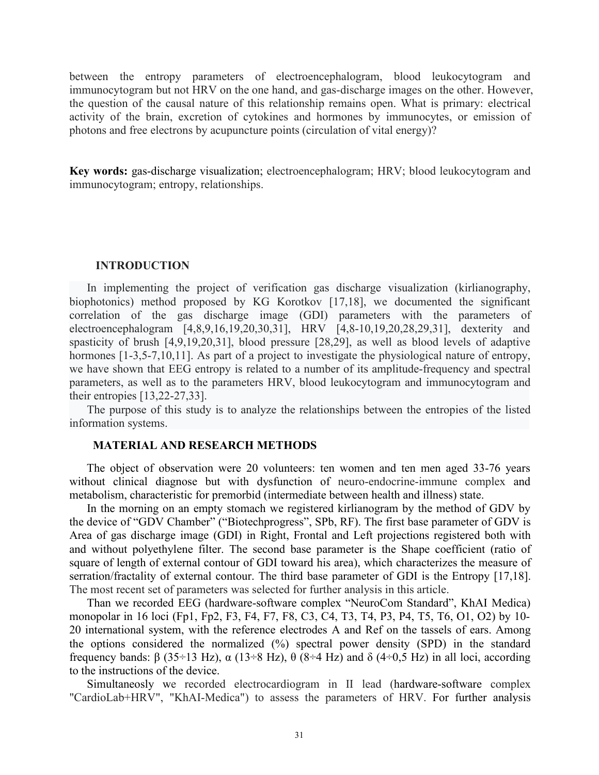between the entropy parameters of electroencephalogram, blood leukocytogram and immunocytogram but not HRV on the one hand, and gas-discharge images on the other. However, the question of the causal nature of this relationship remains open. What is primary: electrical activity of the brain, excretion of cytokines and hormones by immunocytes, or emission of photons and free electrons by acupuncture points (circulation of vital energy)?

**Key words:** gas-discharge visualization; electroencephalogram; HRV; blood leukocytogram and immunocytogram; entropy, relationships.

### **INTRODUCTION**

In implementing the project of verification gas discharge visualization (kirlianography, biophotonics) method proposed by KG Korotkov [17,18], we documented the significant correlation of the gas discharge image (GDI) parameters with the parameters of electroencephalogram [4,8,9,16,19,20,30,31], HRV [4,8-10,19,20,28,29,31], dexterity and spasticity of brush [4,9,19,20,31], blood pressure [28,29], as well as blood levels of adaptive hormones [1-3,5-7,10,11]. As part of a project to investigate the physiological nature of entropy, we have shown that EEG entropy is related to a number of its amplitude-frequency and spectral parameters, as well as to the parameters HRV, blood leukocytogram and immunocytogram and their entropies [13,22-27,33].

The purpose of this study is to analyze the relationships between the entropies of the listed information systems.

### **MATERIAL AND RESEARCH METHODS**

The object of observation were 20 volunteers: ten women and ten men aged 33-76 years without clinical diagnose but with dysfunction of neuro-endocrine-immune complex and metabolism, characteristic for premorbid (intermediate between health and illness) state.

In the morning on an empty stomach we registered kirlianogram by the method of GDV by the device of "GDV Chamber" ("Biotechprogress", SPb, RF). The first base parameter of GDV is Area of gas discharge image (GDI) in Right, Frontal and Left projections registered both with and without polyethylene filter. The second base parameter is the Shape coefficient (ratio of square of length of external contour of GDI toward his area), which characterizes the measure of serration/fractality of external contour. The third base parameter of GDI is the Entropy [17,18]. The most recent set of parameters was selected for further analysis in this article.

Than we recorded EEG (hardware-software complex "NeuroCom Standard", KhAI Medica) monopolar in 16 loci (Fp1, Fp2, F3, F4, F7, F8, C3, C4, T3, T4, P3, P4, T5, T6, O1, O2) by 10- 20 international system, with the reference electrodes A and Ref on the tassels of ears. Among the options considered the normalized (%) spectral power density (SPD) in the standard frequency bands: β (35÷13 Hz), α (13÷8 Hz), θ (8÷4 Hz) and δ (4÷0,5 Hz) in all loci, according to the instructions of the device.

Simultaneosly we recorded electrocardiogram in II lead (hardware-software complex "CardioLab+HRV", "KhAI-Medica") to assess the parameters of HRV. For further analysis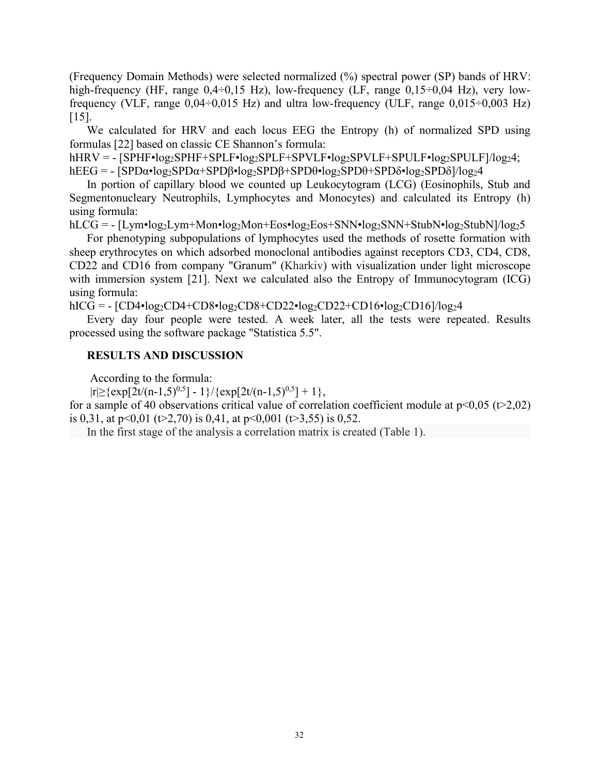(Frequency Domain Methods) were selected normalized (%) spectral power (SP) bands of HRV: high-frequency (HF, range  $0.4 \div 0.15$  Hz), low-frequency (LF, range  $0.15 \div 0.04$  Hz), very lowfrequency (VLF, range  $0.04 \div 0.015$  Hz) and ultra low-frequency (ULF, range  $0.015 \div 0.003$  Hz)  $[15]$ .

We calculated for HRV and each locus EEG the Entropy (h) of normalized SPD using formulas [22] based on classic CE Shannon's formula:

 $hHRV = [SPHF \cdot log_2SPHF + SPLF \cdot log_2SPLF + SPVLF \cdot log_2SPVLF + SPULF \cdot log_2SPULF / log_24;$ 

hEEG =  $-[SPD\alpha \cdot \log_2SPD\alpha + SPD\beta \cdot \log_2SPD\beta + SPD\theta \cdot \log_2SPD\theta + SPD\delta \cdot \log_2SPD\delta]/\log_2 4$ 

In portion of capillary blood we counted up Leukocytogram (LCG) (Eosinophils, Stub and Segmentonucleary Neutrophils, Lymphocytes and Monocytes) and calculated its Entropy (h) using formula:

 $hLCG = - [Lym \cdot log_2Lym + Mon \cdot log_2Mon + Eos \cdot log_2Eos + SNN \cdot log_2SNN + StubN \cdot log_2StubN]/log_25$ 

For phenotyping subpopulations of lymphocytes used the methods of rosette formation with sheep erythrocytes on which adsorbed monoclonal antibodies against receptors CD3, CD4, CD8, CD22 and CD16 from company "Granum" (Kharkiv) with visualization under light microscope with immersion system [21]. Next we calculated also the Entropy of Immunocytogram (ICG) using formula:

hICG =  $-[CD4•log_2CD4+CD8•log_2CD8+CD22•log_2CD22+CD16•log_2CD16]/log_24$ 

Every day four people were tested. A week later, all the tests were repeated. Results processed using the software package "Statistica 5.5".

# **RESULTS AND DISCUSSION**

According to the formula:

 $|r| \geq \{ \exp[2t/(n-1,5)^{0,5}] - 1 \} / \{ \exp[2t/(n-1,5)^{0,5}] + 1 \},$ 

for a sample of 40 observations critical value of correlation coefficient module at  $p<0.05$  (t>2,02) is 0,31, at  $p<0,01$  (t>2,70) is 0,41, at  $p<0,001$  (t>3,55) is 0,52.

In the first stage of the analysis a correlation matrix is created (Table 1).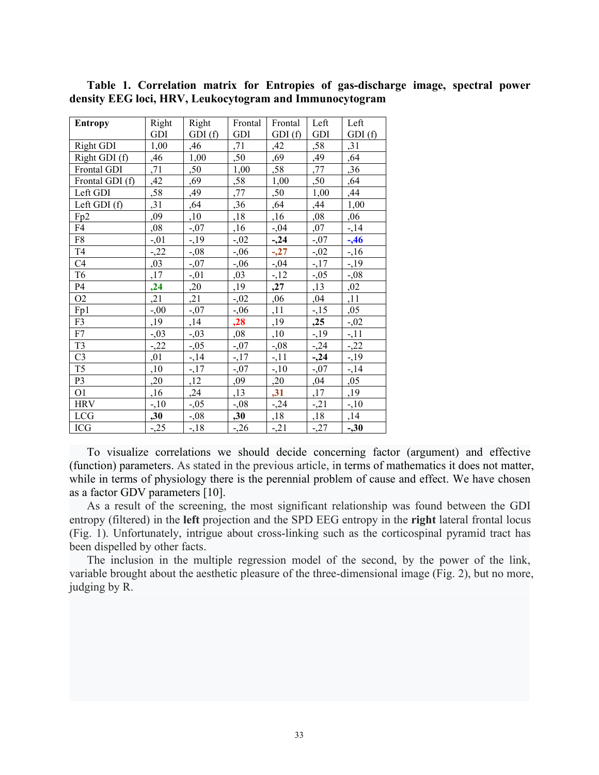| <b>Entropy</b>  | Right   | Right   | Frontal | Frontal | Left    | Left    |
|-----------------|---------|---------|---------|---------|---------|---------|
|                 | GDI     | GDI(f)  | GDI     | GDI(f)  | GDI     | GDI(f)  |
| Right GDI       | 1,00    | ,46     | ,71     | ,42     | ,58     | ,31     |
| Right GDI (f)   | ,46     | 1,00    | ,50     | ,69     | ,49     | ,64     |
| Frontal GDI     | ,71     | ,50     | 1,00    | ,58     | ,77     | ,36     |
| Frontal GDI (f) | ,42     | ,69     | ,58     | 1,00    | ,50     | ,64     |
| Left GDI        | ,58     | ,49     | ,77     | ,50     | 1,00    | ,44     |
| Left GDI (f)    | ,31     | ,64     | ,36     | ,64     | ,44     | 1,00    |
| Fp2             | ,09     | ,10     | ,18     | ,16     | ,08     | ,06     |
| F4              | ,08     | $-0.07$ | ,16     | $-0.04$ | ,07     | $-14$   |
| F8              | $-0.01$ | $-1,19$ | $-0.02$ | $-24$   | $-0.07$ | $-1,46$ |
| T <sub>4</sub>  | $-22$   | $-0.08$ | $-0,06$ | $-27$   | $-0.02$ | $-16$   |
| C4              | ,03     | $-0.07$ | $-0,06$ | $-0.04$ | $-17$   | $-19$   |
| T <sub>6</sub>  | ,17     | $-0.01$ | ,03     | $-12$   | $-0.05$ | $-0.08$ |
| P <sub>4</sub>  | , 24    | ,20     | ,19     | ,27     | ,13     | ,02     |
| O <sub>2</sub>  | ,21     | ,21     | $-0.02$ | ,06     | ,04     | ,11     |
| Fp1             | $-0,00$ | $-0.07$ | $-0,06$ | ,11     | $-15$   | ,05     |
| F3              | ,19     | ,14     | ,28     | ,19     | ,25     | $-0.02$ |
| F7              | $-0.03$ | $-0.03$ | ,08     | ,10     | $-19$   | $-11$   |
| T <sub>3</sub>  | $-22$   | $-0.05$ | $-0.07$ | $-0.08$ | $-24$   | $-22$   |
| C <sub>3</sub>  | ,01     | $-14$   | $-17$   | $-11$   | $-24$   | $-19$   |
| T <sub>5</sub>  | ,10     | $-17$   | $-0.07$ | $-10$   | $-0.07$ | $-14$   |
| P <sub>3</sub>  | ,20     | ,12     | ,09     | ,20     | ,04     | ,05     |
| O <sub>1</sub>  | ,16     | ,24     | ,13     | , 31    | ,17     | ,19     |
| <b>HRV</b>      | $-10$   | $-0.05$ | $-0.08$ | $-24$   | $-21$   | $-10$   |
| <b>LCG</b>      | ,30     | $-0.08$ | ,30     | ,18     | ,18     | ,14     |
| <b>ICG</b>      | $-25$   | $-18$   | $-26$   | $-21$   | $-27$   | $-30$   |

**Table 1. Correlation matrix for Entropies of gas-discharge image, spectral power density EEG loci, HRV, Leukocytogram and Immunocytogram**

To visualize correlations we should decide concerning factor (argument) and effective (function) parameters. As stated in the previous article, in terms of mathematics it does not matter, while in terms of physiology there is the perennial problem of cause and effect. We have chosen as a factor GDV parameters [10].

As a result of the screening, the most significant relationship was found between the GDI entropy (filtered) in the **left** projection and the SPD EEG entropy in the **right** lateral frontal locus (Fig. 1). Unfortunately, intrigue about cross-linking such as the corticospinal pyramid tract has been dispelled by other facts.

The inclusion in the multiple regression model of the second, by the power of the link, variable brought about the aesthetic pleasure of the three-dimensional image (Fig. 2), but no more, judging by R.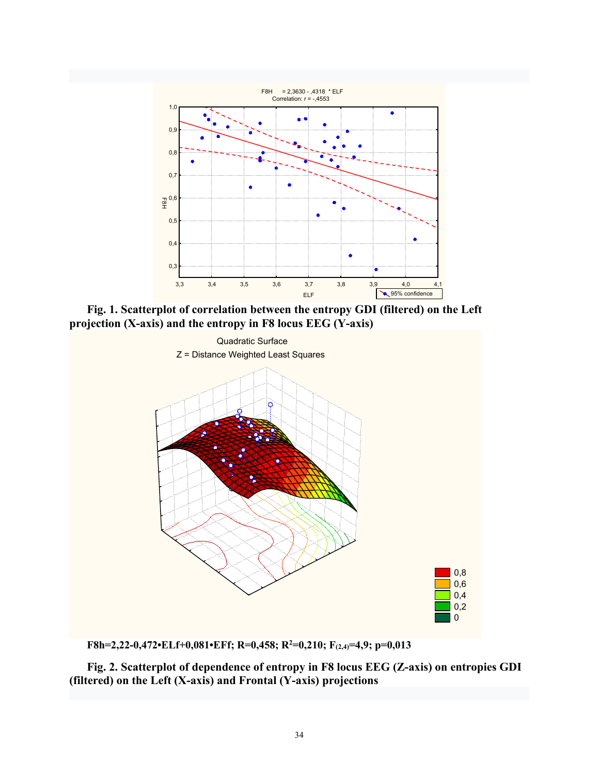

**Fig. 1. Scatterplot of correlation between the entropy GDI (filtered) on the Left projection (X-axis) and the entropy in F8 locus EEG (Y-axis)**



**F8h=2,22-0,472•ELf+0,081•EFf; R=0,458; R<sup>2</sup>=0,210; F(2,4)=4,9; p=0,013**

**Fig. 2. Scatterplot of dependence of entropy in F8 locus EEG (Z-axis) on entropies GDI (filtered) on the Left (X-axis) and Frontal (Y-axis) projections**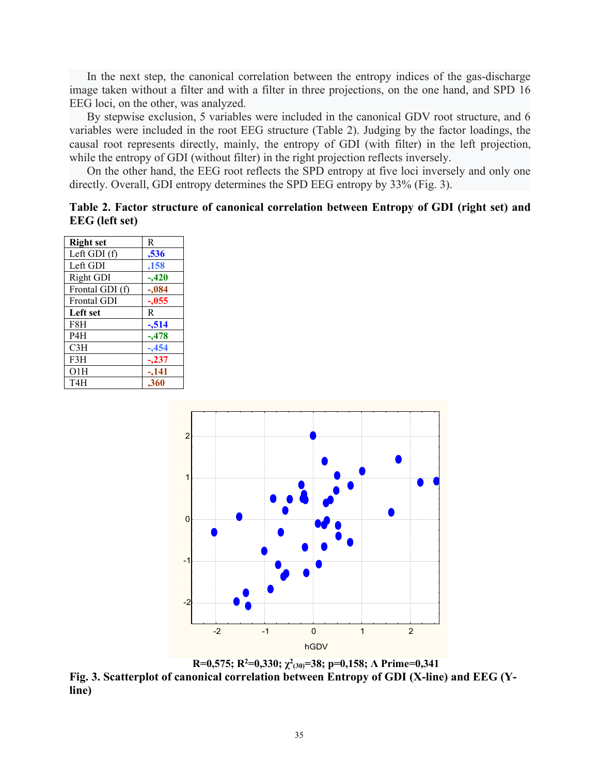In the next step, the canonical correlation between the entropy indices of the gas-discharge image taken without a filter and with a filter in three projections, on the one hand, and SPD 16 EEG loci, on the other, was analyzed.

By stepwise exclusion, 5 variables were included in the canonical GDV root structure, and 6 variables were included in the root EEG structure (Table 2). Judging by the factor loadings, the causal root represents directly, mainly, the entropy of GDI (with filter) in the left projection, while the entropy of GDI (without filter) in the right projection reflects inversely.

On the other hand, the EEG root reflects the SPD entropy at five loci inversely and only one directly. Overall, GDI entropy determines the SPD EEG entropy by 33% (Fig. 3).

|                       | Table 2. Factor structure of canonical correlation between Entropy of GDI (right set) and |  |  |  |
|-----------------------|-------------------------------------------------------------------------------------------|--|--|--|
| <b>EEG</b> (left set) |                                                                                           |  |  |  |

| <b>Right</b> set   | R       |  |  |
|--------------------|---------|--|--|
| Left GDI (f)       | ,536    |  |  |
| Left GDI           | ,158    |  |  |
| Right GDI          | $-.420$ |  |  |
| Frontal GDI (f)    | $-.084$ |  |  |
| <b>Frontal GDI</b> | $-.055$ |  |  |
| <b>Left set</b>    | R       |  |  |
| F8H                | $-514$  |  |  |
| P <sub>4</sub> H   | $-478$  |  |  |
| C3H                | $-454$  |  |  |
| F3H                | $-237$  |  |  |
| O1H                | $-141$  |  |  |
| T4H                | .360    |  |  |



**R=0,575; R<sup>2</sup>=0,330; χ<sup>2</sup> (30)=38; p=0,158; Λ Prime=0,341 Fig. 3. Scatterplot of canonical correlation between Entropy of GDI (X-line) and EEG (Yline)**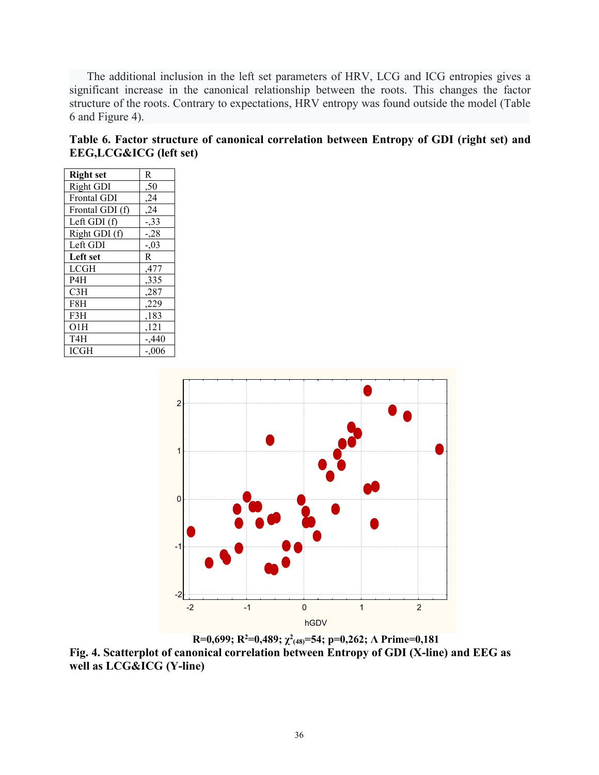The additional inclusion in the left set parameters of HRV, LCG and ICG entropies gives a significant increase in the canonical relationship between the roots. This changes the factor structure of the roots. Contrary to expectations, HRV entropy was found outside the model (Table 6 and Figure 4).

| Table 6. Factor structure of canonical correlation between Entropy of GDI (right set) and |  |  |  |
|-------------------------------------------------------------------------------------------|--|--|--|
| <b>EEG,LCG&amp;ICG</b> (left set)                                                         |  |  |  |

| <b>Right</b> set   | R        |
|--------------------|----------|
| Right GDI          | ,50      |
| <b>Frontal GDI</b> | , 24     |
| Frontal GDI (f)    | , 24     |
| Left GDI (f)       | $-33$    |
| Right GDI (f)      | $-28$    |
| Left GDI           | $-0.03$  |
| Left set           | R.       |
| <b>LCGH</b>        | ,477     |
| P4H                | ,335     |
| C3H                | ,287     |
| F8H                | ,229     |
| F3H                | ,183     |
| O1H                | ,121     |
| T4H                | $-0.440$ |
| <b>ICGH</b>        | $-.006$  |



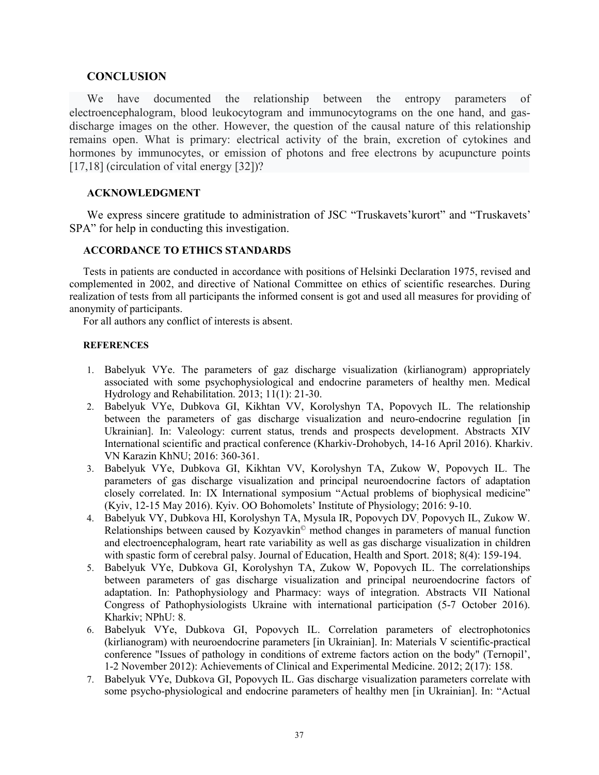### **CONCLUSION**

We have documented the relationship between the entropy parameters of electroencephalogram, blood leukocytogram and immunocytograms on the one hand, and gasdischarge images on the other. However, the question of the causal nature of this relationship remains open. What is primary: electrical activity of the brain, excretion of cytokines and hormones by immunocytes, or emission of photons and free electrons by acupuncture points [17,18] (circulation of vital energy [32])?

# **ACKNOWLEDGMENT**

We express sincere gratitude to administration of JSC "Truskavets'kurort" and "Truskavets' SPA" for help in conducting this investigation.

# **ACCORDANCE TO ETHICS STANDARDS**

Tests in patients are conducted in accordance with positions of Helsinki Declaration 1975, revised and complemented in 2002, and directive of National Committee on ethics of scientific researches. During realization of tests from all participants the informed consent is got and used all measures for providing of anonymity of participants.

For all authors any conflict of interests is absent.

#### **REFERENCES**

- 1. Babelyuk VYe. The parameters of gaz discharge visualization (kirlianogram) appropriately associated with some psychophysiological and endocrine parameters of healthy men. Medical Hydrology and Rehabilitation. 2013; 11(1): 21-30.
- 2. Babelyuk VYe, Dubkova GI, Kikhtan VV, Korolyshyn TA, Popovych IL. The relationship between the parameters of gas discharge visualization and neuro-endocrine regulation [in Ukrainian]. In: Valeology: current status, trends and prospects development. Abstracts XIV International scientific and practical conference (Kharkiv-Drohobych, 14-16 April 2016). Kharkiv. VN Karazin KhNU; 2016: 360-361.
- 3. Babelyuk VYe, Dubkova GI, Kikhtan VV, Korolyshyn TA, Zukow W, Popovych IL. The parameters of gas discharge visualization and principal neuroendocrine factors of adaptation closely correlated. In: IX International symposium "Actual problems of biophysical medicine" (Kyiv, 12-15 May 2016). Кyiv. OO Bohomolets' Institute of Physiology; 2016: 9-10.
- 4. Babelyuk VY, Dubkova HI, Korolyshyn TA, Mysula IR, Popovych DV, Popovych IL, Zukow W. Relationships between caused by Kozyavkin© method changes in parameters of manual function and electroencephalogram, heart rate variability as well as gas discharge visualization in children with spastic form of cerebral palsy. Journal of Education, Health and Sport. 2018; 8(4): 159-194.
- 5. Babelyuk VYe, Dubkova GI, Korolyshyn TA, Zukow W, Popovych IL. The correlationships between parameters of gas discharge visualization and principal neuroendocrine factors of adaptation. In: Pathophysiology and Pharmacy: ways of integration. Abstracts VII National Congress of Pathophysiologists Ukraine with international participation (5-7 October 2016). Kharkiv; NPhU: 8.
- 6. Babelyuk VYe, Dubkova GI, Popovych IL. Correlation parameters of electrophotonics (kirlianogram) with neuroendocrine parameters [in Ukrainian]. In: Materials V scientific-practical conference "Issues of pathology in conditions of extreme factors action on the body" (Ternopil', 1-2 November 2012): Achievements of Clinical and Experimental Medicine. 2012; 2(17): 158.
- 7. Babelyuk VYe, Dubkova GI, Popovych IL. Gas discharge visualization parameters correlate with some psycho-physiological and endocrine parameters of healthy men [in Ukrainian]. In: "Actual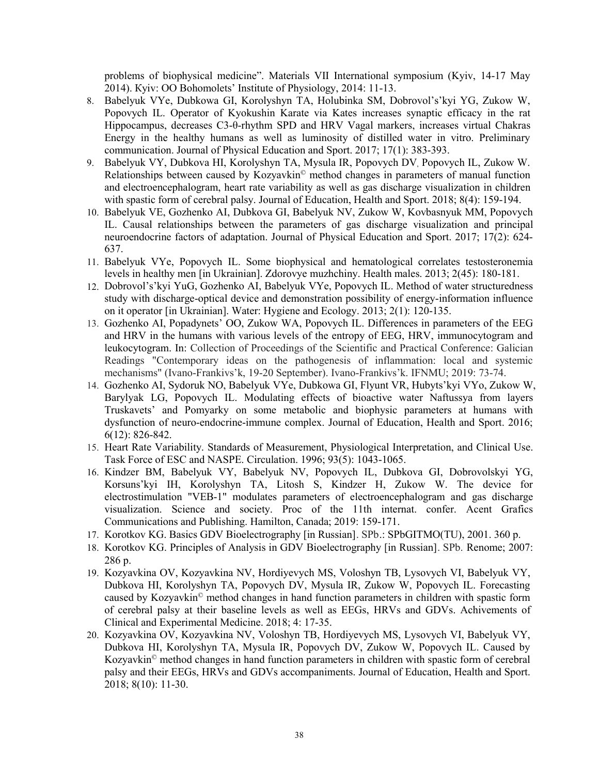problems of biophysical medicine". Materials VII International symposium (Kyiv, 14-17 May 2014). Кyiv: OO Bohomolets' Institute of Physiology, 2014: 11-13.

- 8. Babelyuk VYe, Dubkowa GI, Korolyshyn TA, Holubinka SM, Dobrovol's'kyi YG, Zukow W, Popovych IL. Operator of Kyokushin Karate via Kates increases synaptic efficacy in the rat Hippocampus, decreases C3-θ-rhythm SPD and HRV Vagal markers, increases virtual Chakras Energy in the healthy humans as well as luminosity of distilled water in vitro. Preliminary communication. Journal of Physical Education and Sport. 2017; 17(1): 383-393.
- 9. Babelyuk VY, Dubkova HI, Korolyshyn TA, Mysula IR, Popovych DV, Popovych IL, Zukow W. Relationships between caused by Kozyavkin© method changes in parameters of manual function and electroencephalogram, heart rate variability as well as gas discharge visualization in children with spastic form of cerebral palsy. Journal of Education, Health and Sport. 2018; 8(4): 159-194.
- 10. Babelyuk VE, Gozhenko AI, Dubkova GI, Babelyuk NV, Zukow W, Kovbasnyuk MM, Popovych IL. Causal relationships between the parameters of gas discharge visualization and principal neuroendocrine factors of adaptation. Journal of Physical Education and Sport. 2017; 17(2): 624- 637.
- 11. Babelyuk VYe, Popovych IL. Some biophysical and hematological correlates testosteronemia levels in healthy men [in Ukrainian]. Zdorovye muzhchiny. Health males. 2013; 2(45): 180-181.
- 12. Dobrovol's'kyi YuG, Gozhenko AI, Babelyuk VYe, Popovych IL. Method of water structuredness study with discharge-optical device and demonstration possibility of energy-information influence on it operator [in Ukrainian]. Water: Hygiene and Ecology. 2013; 2(1): 120-135.
- 13. Gozhenko AI, Popadynets' OO, Zukow WA, Popovych IL. Differences in parameters of the EEG and HRV in the humans with various levels of the entropy of EEG, HRV, immunocytogram and leukocytogram. In: Collection of Proceedings of the Scientific and Practical Conference: Galician Readings "Contemporary ideas on the pathogenesis of inflammation: local and systemic mechanisms" (Ivano-Frankivs'k, 19-20 September). Ivano-Frankivs'k. IFNMU; 2019: 73-74.
- 14. Gozhenko AI, Sydoruk NO, Babelyuk VYe, Dubkowa GI, Flyunt VR, Hubyts'kyi VYo, Zukow W, Barylyak LG, Popovych IL. Modulating effects of bioactive water Naftussya from layers Truskavets' and Pomyarky on some metabolic and biophysic parameters at humans with dysfunction of neuro-endocrine-immune complex. Journal of Education, Health and Sport. 2016; 6(12): 826-842.
- 15. Heart Rate Variability. Standards of Measurement, Physiological Interpretation, and Clinical Use. Task Force of ESC and NASPE. Circulation. 1996; 93(5): 1043-1065.
- 16. Kindzer BM, Babelyuk VY, Babelyuk NV, Popovych IL, Dubkova GI, Dobrovolskyi YG, Korsuns'kyi IH, Korolyshyn TA, Litosh S, Kindzer H, Zukow W. The device for electrostimulation "VEB-1" modulates parameters of electroencephalogram and gas discharge visualization. Science and society. Proc of the 11th internat. confer. Acent Grafics Communications and Publishing. Hamilton, Canada; 2019: 159-171.
- 17. Korotkov KG. Basics GDV Bioelectrography [in Russian]. SPb.: SPbGITMO(TU), 2001. 360 p.
- 18. Korotkov KG. Principles of Analysis in GDV Bioelectrography [in Russian]. SPb. Renome; 2007: 286 p.
- 19. Kozyavkina OV, Kozyavkina NV, Hordiyevych МS, Voloshyn ТB, Lysovych VI, Babelyuk VY, Dubkova HI, Korolyshyn TA, Popovych DV, Mysula IR, Zukow W, Popovych IL. Forecasting caused by Kozyavkin© method changes in hand function parameters in children with spastic form of cerebral palsy at their baseline levels as well as EEGs, HRVs and GDVs. Achivements of Clinical and Experimental Medicine. 2018; 4: 17-35.
- 20. Kozyavkina OV, Kozyavkina NV, Voloshyn ТB, Hordiyevych МS, Lysovych VI, Babelyuk VY, Dubkova HI, Korolyshyn TA, Mysula IR, Popovych DV, Zukow W, Popovych IL. Caused by Kozyavkin<sup>©</sup> method changes in hand function parameters in children with spastic form of cerebral palsy and their EEGs, HRVs and GDVs accompaniments. Journal of Education, Health and Sport. 2018; 8(10): 11-30.